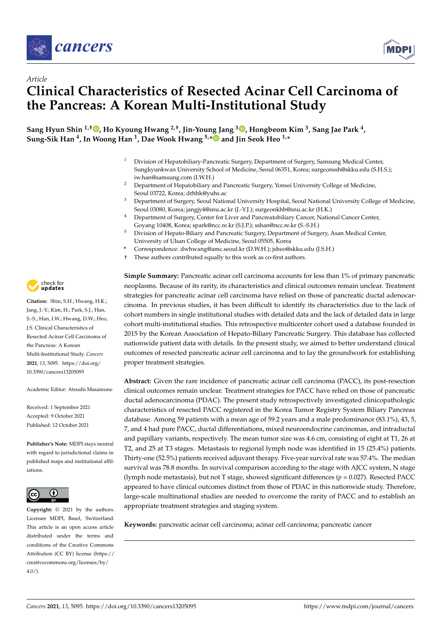



# *Article* **Clinical Characteristics of Resected Acinar Cell Carcinoma of the Pancreas: A Korean Multi-Institutional Study**

**Sang Hyun Shin 1,† [,](https://orcid.org/0000-0002-2533-4491) Ho Kyoung Hwang 2,†, Jin-Young Jang <sup>3</sup> [,](https://orcid.org/0000-0003-3312-0503) Hongbeom Kim <sup>3</sup> , Sang Jae Park <sup>4</sup> , Sung-Sik Han <sup>4</sup> , In Woong Han <sup>1</sup> , Dae Wook Hwang 5,[\\*](https://orcid.org/0000-0002-1749-038X) and Jin Seok Heo 1,\***

- <sup>1</sup> Division of Hepatobiliary-Pancreatic Surgery, Department of Surgery, Samsung Medical Center, Sungkyunkwan University School of Medicine, Seoul 06351, Korea; surgeonssh@skku.edu (S.H.S.); iw.han@samsung.com (I.W.H.)
- <sup>2</sup> Department of Hepatobiliary and Pancreatic Surgery, Yonsei University College of Medicine, Seoul 03722, Korea; drhhk@yuhs.ac
- <sup>3</sup> Department of Surgery, Seoul National University Hospital, Seoul National University College of Medicine, Seoul 03080, Korea; jangjy4@snu.ac.kr (J.-Y.J.); surgeonkhb@snu.ac.kr (H.K.)
- <sup>4</sup> Department of Surgery, Center for Liver and Pancreatobiliary Cancer, National Cancer Center, Goyang 10408, Korea; spark@ncc.re.kr (S.J.P.); sshan@ncc.re.kr (S.-S.H.)
- <sup>5</sup> Division of Hepato-Biliary and Pancreatic Surgery, Department of Surgery, Asan Medical Center, University of Ulsan College of Medicine, Seoul 05505, Korea
- **\*** Correspondence: dwhwang@amc.seoul.kr (D.W.H.); jsheo@skku.edu (J.S.H.)
- † These authors contributed equally to this work as co-first authors.

**Simple Summary:** Pancreatic acinar cell carcinoma accounts for less than 1% of primary pancreatic neoplasms. Because of its rarity, its characteristics and clinical outcomes remain unclear. Treatment strategies for pancreatic acinar cell carcinoma have relied on those of pancreatic ductal adenocarcinoma. In previous studies, it has been difficult to identify its characteristics due to the lack of cohort numbers in single institutional studies with detailed data and the lack of detailed data in large cohort multi-institutional studies. This retrospective multicenter cohort used a database founded in 2015 by the Korean Association of Hepato-Biliary Pancreatic Surgery. This database has collected nationwide patient data with details. In the present study, we aimed to better understand clinical outcomes of resected pancreatic acinar cell carcinoma and to lay the groundwork for establishing proper treatment strategies.

**Abstract:** Given the rare incidence of pancreatic acinar cell carcinoma (PACC), its post-resection clinical outcomes remain unclear. Treatment strategies for PACC have relied on those of pancreatic ductal adenocarcinoma (PDAC). The present study retrospectively investigated clinicopathologic characteristics of resected PACC registered in the Korea Tumor Registry System Biliary Pancreas database. Among 59 patients with a mean age of 59.2 years and a male predominance (83.1%), 43, 5, 7, and 4 had pure PACC, ductal differentiations, mixed neuroendocrine carcinomas, and intraductal and papillary variants, respectively. The mean tumor size was 4.6 cm, consisting of eight at T1, 26 at T2, and 25 at T3 stages. Metastasis to regional lymph node was identified in 15 (25.4%) patients. Thirty-one (52.5%) patients received adjuvant therapy. Five-year survival rate was 57.4%. The median survival was 78.8 months. In survival comparison according to the stage with AJCC system, N stage (lymph node metastasis), but not T stage, showed significant differences (*p* = 0.027). Resected PACC appeared to have clinical outcomes distinct from those of PDAC in this nationwide study. Therefore, large-scale multinational studies are needed to overcome the rarity of PACC and to establish an appropriate treatment strategies and staging system.

**Keywords:** pancreatic acinar cell carcinoma; acinar cell carcinoma; pancreatic cancer



**Citation:** Shin, S.H.; Hwang, H.K.; Jang, J.-Y.; Kim, H.; Park, S.J.; Han, S.-S.; Han, I.W.; Hwang, D.W.; Heo, J.S. Clinical Characteristics of Resected Acinar Cell Carcinoma of the Pancreas: A Korean Multi-Institutional Study. *Cancers* **2021**, *13*, 5095. [https://doi.org/](https://doi.org/10.3390/cancers13205095) [10.3390/cancers13205095](https://doi.org/10.3390/cancers13205095)

Academic Editor: Atsushi Masamune

Received: 1 September 2021 Accepted: 9 October 2021 Published: 12 October 2021

**Publisher's Note:** MDPI stays neutral with regard to jurisdictional claims in published maps and institutional affiliations.



**Copyright:** © 2021 by the authors. Licensee MDPI, Basel, Switzerland. This article is an open access article distributed under the terms and conditions of the Creative Commons Attribution (CC BY) license (https:/[/](https://creativecommons.org/licenses/by/4.0/) [creativecommons.org/licenses/by/](https://creativecommons.org/licenses/by/4.0/)  $4.0/$ ).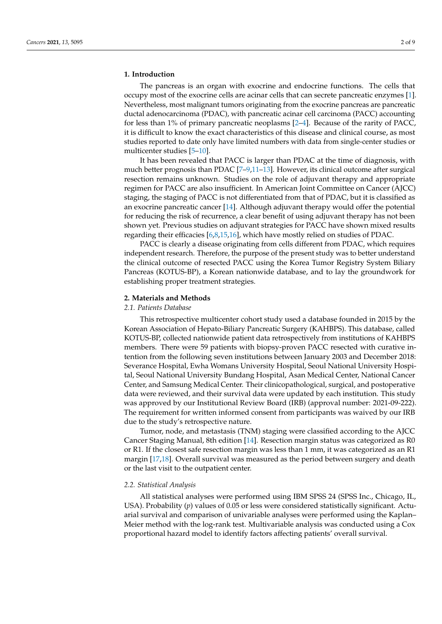#### **1. Introduction**

The pancreas is an organ with exocrine and endocrine functions. The cells that occupy most of the exocrine cells are acinar cells that can secrete pancreatic enzymes [\[1\]](#page-7-0). Nevertheless, most malignant tumors originating from the exocrine pancreas are pancreatic ductal adenocarcinoma (PDAC), with pancreatic acinar cell carcinoma (PACC) accounting for less than 1% of primary pancreatic neoplasms [\[2](#page-7-1)[–4\]](#page-7-2). Because of the rarity of PACC, it is difficult to know the exact characteristics of this disease and clinical course, as most studies reported to date only have limited numbers with data from single-center studies or multicenter studies [\[5–](#page-7-3)[10\]](#page-7-4).

It has been revealed that PACC is larger than PDAC at the time of diagnosis, with much better prognosis than PDAC [\[7](#page-7-5)[–9](#page-7-6)[,11](#page-7-7)[–13\]](#page-7-8). However, its clinical outcome after surgical resection remains unknown. Studies on the role of adjuvant therapy and appropriate regimen for PACC are also insufficient. In American Joint Committee on Cancer (AJCC) staging, the staging of PACC is not differentiated from that of PDAC, but it is classified as an exocrine pancreatic cancer [\[14\]](#page-7-9). Although adjuvant therapy would offer the potential for reducing the risk of recurrence, a clear benefit of using adjuvant therapy has not been shown yet. Previous studies on adjuvant strategies for PACC have shown mixed results regarding their efficacies [\[6](#page-7-10)[,8](#page-7-11)[,15](#page-7-12)[,16\]](#page-7-13), which have mostly relied on studies of PDAC.

PACC is clearly a disease originating from cells different from PDAC, which requires independent research. Therefore, the purpose of the present study was to better understand the clinical outcome of resected PACC using the Korea Tumor Registry System Biliary Pancreas (KOTUS-BP), a Korean nationwide database, and to lay the groundwork for establishing proper treatment strategies.

#### **2. Materials and Methods**

# *2.1. Patients Database*

This retrospective multicenter cohort study used a database founded in 2015 by the Korean Association of Hepato-Biliary Pancreatic Surgery (KAHBPS). This database, called KOTUS-BP, collected nationwide patient data retrospectively from institutions of KAHBPS members. There were 59 patients with biopsy-proven PACC resected with curative intention from the following seven institutions between January 2003 and December 2018: Severance Hospital, Ewha Womans University Hospital, Seoul National University Hospital, Seoul National University Bundang Hospital, Asan Medical Center, National Cancer Center, and Samsung Medical Center. Their clinicopathological, surgical, and postoperative data were reviewed, and their survival data were updated by each institution. This study was approved by our Institutional Review Board (IRB) (approval number: 2021-09-222). The requirement for written informed consent from participants was waived by our IRB due to the study's retrospective nature.

Tumor, node, and metastasis (TNM) staging were classified according to the AJCC Cancer Staging Manual, 8th edition [\[14\]](#page-7-9). Resection margin status was categorized as R0 or R1. If the closest safe resection margin was less than 1 mm, it was categorized as an R1 margin [\[17,](#page-7-14)[18\]](#page-7-15). Overall survival was measured as the period between surgery and death or the last visit to the outpatient center.

#### *2.2. Statistical Analysis*

All statistical analyses were performed using IBM SPSS 24 (SPSS Inc., Chicago, IL, USA). Probability (*p*) values of 0.05 or less were considered statistically significant. Actuarial survival and comparison of univariable analyses were performed using the Kaplan– Meier method with the log-rank test. Multivariable analysis was conducted using a Cox proportional hazard model to identify factors affecting patients' overall survival.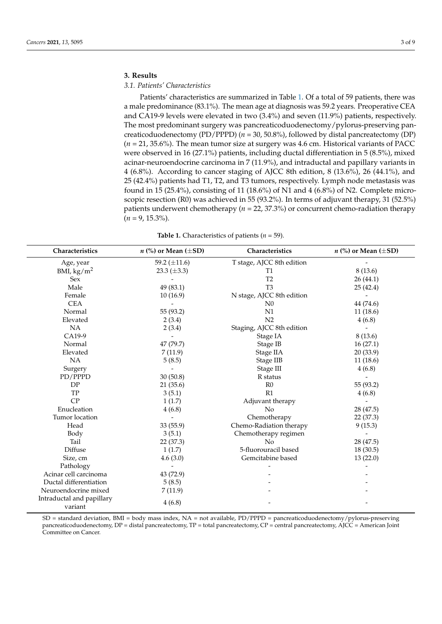# **3. Results**

# *3.1. Patients' Characteristics*

Patients' characteristics are summarized in Table [1.](#page-2-0) Of a total of 59 patients, there was a male predominance (83.1%). The mean age at diagnosis was 59.2 years. Preoperative CEA and CA19-9 levels were elevated in two (3.4%) and seven (11.9%) patients, respectively. The most predominant surgery was pancreaticoduodenectomy/pylorus-preserving pancreaticoduodenectomy (PD/PPPD) (*n* = 30, 50.8%), followed by distal pancreatectomy (DP) (*n* = 21, 35.6%). The mean tumor size at surgery was 4.6 cm. Historical variants of PACC were observed in 16 (27.1%) patients, including ductal differentiation in 5 (8.5%), mixed acinar-neuroendocrine carcinoma in 7 (11.9%), and intraductal and papillary variants in 4 (6.8%). According to cancer staging of AJCC 8th edition, 8 (13.6%), 26 (44.1%), and 25 (42.4%) patients had T1, T2, and T3 tumors, respectively. Lymph node metastasis was found in 15 (25.4%), consisting of 11 (18.6%) of N1 and 4 (6.8%) of N2. Complete microscopic resection (R0) was achieved in 55 (93.2%). In terms of adjuvant therapy, 31 (52.5%) patients underwent chemotherapy (*n* = 22, 37.3%) or concurrent chemo-radiation therapy  $(n = 9, 15.3\%)$ .

| <b>Table 1.</b> Characteristics of patients ( $n = 59$ ). |  |
|-----------------------------------------------------------|--|
|-----------------------------------------------------------|--|

<span id="page-2-0"></span>

| Characteristics                      | $n$ (%) or Mean ( $\pm$ SD) | Characteristics           | <i>n</i> (%) or Mean ( $\pm$ SD) |
|--------------------------------------|-----------------------------|---------------------------|----------------------------------|
| Age, year                            | 59.2 $(\pm 11.6)$           | T stage, AJCC 8th edition |                                  |
| BMI, $\text{kg/m}^2$                 | 23.3 $(\pm 3.3)$            | T1                        | 8(13.6)                          |
| Sex                                  |                             | T <sub>2</sub>            | 26 (44.1)                        |
| Male                                 | 49 (83.1)                   | T <sub>3</sub>            | 25(42.4)                         |
| Female                               | 10(16.9)                    | N stage, AJCC 8th edition |                                  |
| <b>CEA</b>                           |                             | N <sub>0</sub>            | 44 (74.6)                        |
| Normal                               | 55 (93.2)                   | N1                        | 11(18.6)                         |
| Elevated                             | 2(3.4)                      | N <sub>2</sub>            | 4(6.8)                           |
| NA                                   | 2(3.4)                      | Staging, AJCC 8th edition |                                  |
| CA19-9                               |                             | Stage IA                  | 8(13.6)                          |
| Normal                               | 47 (79.7)                   | Stage IB                  | 16(27.1)                         |
| Elevated                             | 7(11.9)                     | Stage IIA                 | 20(33.9)                         |
| NA                                   | 5(8.5)                      | Stage IIB                 | 11(18.6)                         |
| Surgery                              |                             | Stage III                 | 4(6.8)                           |
| PD/PPPD                              | 30(50.8)                    | R status                  |                                  |
| DP                                   | 21(35.6)                    | R <sub>0</sub>            | 55 (93.2)                        |
| TP                                   | 3(5.1)                      | R1                        | 4(6.8)                           |
| CP                                   | 1(1.7)                      | Adjuvant therapy          |                                  |
| Enucleation                          | 4(6.8)                      | N <sub>o</sub>            | 28 (47.5)                        |
| Tumor location                       |                             | Chemotherapy              | 22(37.3)                         |
| Head                                 | 33(55.9)                    | Chemo-Radiation therapy   | 9(15.3)                          |
| Body                                 | 3(5.1)                      | Chemotherapy regimen      |                                  |
| Tail                                 | 22(37.3)                    | No                        | 28 (47.5)                        |
| Diffuse                              | 1(1.7)                      | 5-fluorouracil based      | 18(30.5)                         |
| Size, cm                             | 4.6(3.0)                    | Gemcitabine based         | 13(22.0)                         |
| Pathology                            |                             |                           |                                  |
| Acinar cell carcinoma                | 43 (72.9)                   |                           |                                  |
| Ductal differentiation               | 5(8.5)                      |                           |                                  |
| Neuroendocrine mixed                 | 7(11.9)                     |                           |                                  |
| Intraductal and papillary<br>variant | 4(6.8)                      |                           |                                  |

SD = standard deviation, BMI = body mass index, NA = not available, PD/PPPD = pancreaticoduodenectomy/pylorus-preserving pancreaticoduodenectomy, DP = distal pancreatectomy, TP = total pancreatectomy, CP = central pancreatectomy, AJCC = American Joint Committee on Cancer.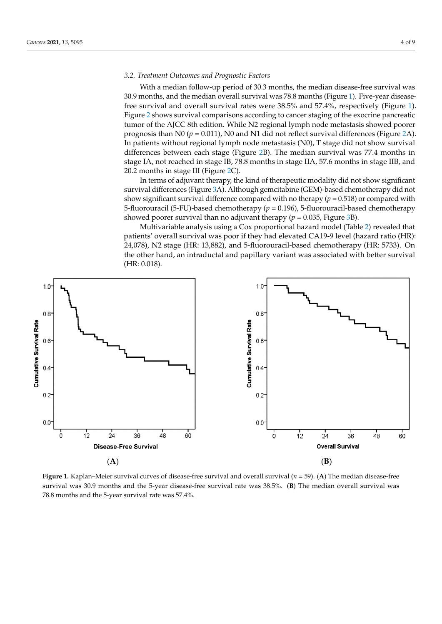# *3.2. Treatment Outcomes and Prognostic Factors*

With a median follow-up period of 30.3 months, the median disease-free survival was 30.9 months, and the median overall survival was 78.8 months (Figure [1\)](#page-3-0). Five-year diseasefree survival and overall survival rates were 38.5% and 57.4%, respectively (Figure [1\)](#page-3-0). Figure [2](#page-4-0) shows survival comparisons according to cancer staging of the exocrine pancreatic tumor of the AJCC 8th edition. While N2 regional lymph node metastasis showed poorer prognosis than N0 ( $p = 0.011$ ), N0 and N1 did not reflect survival differences (Figure [2A](#page-4-0)). In patients without regional lymph node metastasis (N0), T stage did not show survival differences between e[ac](#page-4-0)h stage (Figure 2B). The median survival was 77.4 months in stage IA, not reached in stage IB, 78.8 months in stage IIA, 57.6 months in stage IIB, and burge III, not reached in stage ID, I wis include in stage-fit, for its months in stage-fit), and 20.2 months in stage-III (Figure [2C](#page-4-0)).

In terms of adjuvant therapy, the kind of therapeutic modality did not show significant survival differences (Figure 3A). Although gemcitabine (GEM)-based chemotherapy did not show significant survival difference compared with no therapy ( $p = 0.518$ ) or compared with 5-fluorouracil (5-FU)-based chemotherapy (*p* = 0.196), 5-fluorouracil-based chemotherapy showed poorer survival than [no](#page-5-0) adjuvant therapy ( $p = 0.035$ , Figure 3B).

Multivariable analysis using a Cox proportional hazard model (Table [2\)](#page-5-1) revealed that<br>ences of the metastasis without regional lymph node metastasis (ND), T stage did not metastasis (ND), T stage patients' overall survival was poor if they had elevated CA19-9 level (hazard ratio (HR):<br>24.079). N2.stage (HR): 12.982), and 5 fluoresses il based above there are (HR): 5722). On 24,078), N2 stage (HR: 13,882), and 5-fluorouracil-based chemotherapy (HR: 5733). On  $T_{100}$ ,  $T_{12}$  stage  $T_{11}$ ,  $T_{200}$ , and  $T_{200}$  months in stage in stage in stage IA,  $T_{200}$ ,  $T_{11}$ ,  $T_{200}$ ,  $T_{11}$ ,  $T_{200}$ ,  $T_{11}$ ,  $T_{200}$ ,  $T_{11}$ ,  $T_{200}$ ,  $T_{11}$ ,  $T_{200}$ ,  $T_{11}$ ,  $T_{200}$ ,  $T_{$ (HR: 0.018).  $H = \frac{1}{2}$  months in stage III (Figure 2C).

<span id="page-3-0"></span>

**Figure 1.** Kaplan–Meier survival curves of disease-free survival and overall survival ( $n = 59$ ). (A) The median disease-free survival was 30.9 months and the 5-year disease-free survival rate was 38.5%. (B) The median overall survival was months and the 5-year survival rate was 57.4%. 78.8 months and the 5-year survival rate was 57.4%.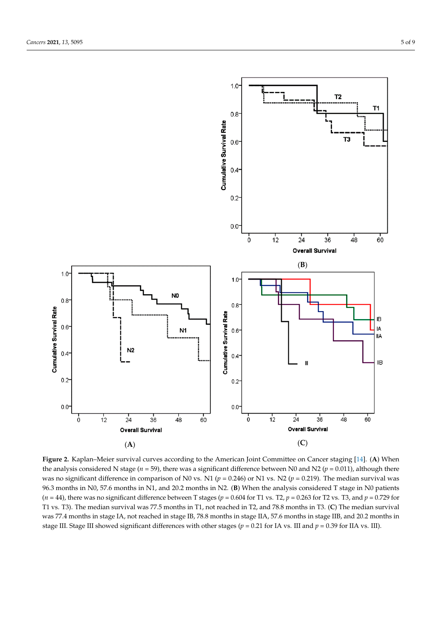

<span id="page-4-0"></span>*Cancers* **2021**, *13*, 5095 5 of 9

Figure 2. Kaplan–Meier survival curves according to the American Joint Committee on Cancer staging [\[14\]](#page-7-9). (A) When the analysis considered N stage ( $n = 59$ ), there was a significant difference between N0 and N2 ( $p = 0.011$ ), although there  $t_{\rm{p}} = 0.010$ ,  $\frac{\rm{M}}{\rm{M}} = 0.010$ ,  $\frac{\rm{M}}{\rm{M}} = 0.010$ ,  $\frac{\rm{m}}{\rm{m}} = 0.010$ ,  $\frac{\rm{m}}{\rm{m}} = 0.010$ ,  $\frac{\rm{m}}{\rm{m}} = 0.010$ ,  $\frac{\rm{m}}{\rm{m}} = 0.010$ ,  $\frac{\rm{m}}{\rm{m}} = 0.010$ ,  $\frac{\rm{m}}{\rm{m}} = 0.010$ ,  $\frac{\rm{m}}{\rm{m}} = 0.01$ was no significant difference in comparison of N0 vs. N1 ( $p = 0.246$ ) or N1 vs. N2 ( $p = 0.219$ ). The median survival was 96.3 months in N0, 57.6 months in N1, and 20.2 months in N2. (**B**) When the analysis considered T stage in N0 patients ( $n=44$ ), there was no significant difference between T stages ( $p=0.604$  for T1 vs. T2,  $p=0.263$  for T2 vs. T3, and  $p=0.729$  for T1 vs. T3). The median survival was 77.5 months in T1, not reached in T2, and 78.8 months in T3. (C) The median survival was 77.4 months in stage IA, not reached in stage IB, 78.8 months in stage IIA, 57.6 months in stage IIB, and 20.2 months in stage III. Stage III showed significant differences with other stages ( $p = 0.21$  for IA vs. III and  $p = 0.39$  for IIA vs. III).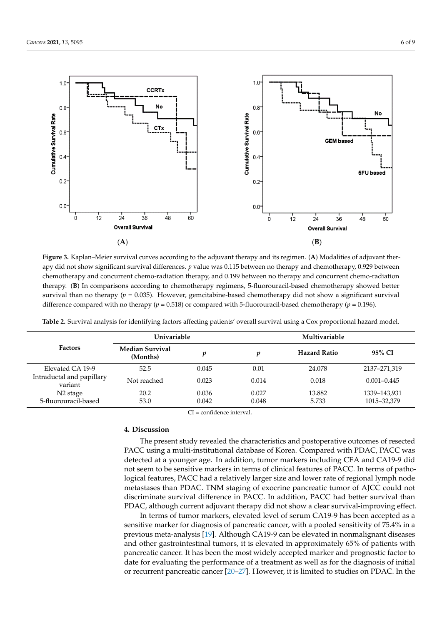

<span id="page-5-0"></span>

Figure 3. Kaplan-Meier survival curves according to the adjuvant therapy and its regimen. (A) Modalities of adjuvant therapy did not show significant survival differences.  $p$  value was 0.115 between no therapy and chemotherapy, 0.929 between between chemotherapy and concurrent chemo-radiation therapy, and 0.199 between no therapy and concurrent chemo-chemotherapy and concurrent chemo-radiation therapy, and 0.199 between no therapy and concurrent chemo-radiation therapy. (B) In comparisons according to chemotherapy regimens, 5-fluorouracil-based chemotherapy showed better better survival than no therapy (*p* = 0.035). However, generally did not survival than not survival survival survival survival survival survival survival survival survival survival survival survival survival survival surv survival than no therapy ( $p = 0.035$ ). However, gemcitabine-based chemotherapy did not show a significant survival difference compared with no therapy ( $p = 0.518$ ) or compared with 5-fluorouracil-based chemotherapy ( $p = 0.196$ ).

| <b>Factors</b>                       | Univariable                        |       | Multivariable |                     |                 |
|--------------------------------------|------------------------------------|-------|---------------|---------------------|-----------------|
|                                      | <b>Median Survival</b><br>(Months) | v     | v             | <b>Hazard Ratio</b> | 95% CI          |
| Elevated CA 19-9                     | 52.5                               | 0.045 | 0.01          | 24.078              | 2137-271,319    |
| Intraductal and papillary<br>variant | Not reached                        | 0.023 | 0.014         | 0.018               | $0.001 - 0.445$ |
| N <sub>2</sub> stage                 | 20.2                               | 0.036 | 0.027         | 13.882              | 1339-143,931    |
| 5-fluorouracil-based                 | 53.0                               | 0.042 | 0.048         | 5.733               | 1015-32,379     |

<span id="page-5-1"></span> $m_{\rm C}$  and a  $C_{\rm C}$  proportional hazard model (Table 2) revealed that model (Table 2) revealed that  $\sigma$ **Table 2.** Survival analysis for identifying factors affecting patients' overall survival using a Cox proportional hazard model.

 $C_1$  – connuence muery at. CI = confidence interval.

#### $\Lambda$  Discussion **4. Discussion**

The present study revealed the characteristics and postoperative outcomes of resected Fractional database of Korea. Compared with PDAC, PACC was PACC using a multi-institutional database of Korea. Compared with PDAC, PACC was detected at a younger age. In addition, tumor markers including CEA and CA19-9 did **4. Discussion**  logical features, PACC had a relatively larger size and lower rate of regional lymph node metastases than PDAC. TNM staging of exocrine pancreatic tumor of AJCC could not discriminate survival difference in PACC. In addition, PACC had better survival than PDAC, although current adjuvant therapy did not show a clear survival-improving effect. not seem to be sensitive markers in terms of clinical features of PACC. In terms of patho-

> In terms of tumor markers, elevated level of serum CA19-9 has been accepted as a sensitive marker for diagnosis of pancreatic cancer, with a pooled sensitivity of 75.4% in a previous meta-analysis [19]. Although CA19-9 can be elevated in nonmalignant diseases and other gastrointestinal tumors, it is elevated in approximately 65% of patients with pancreatic cancer. It has been the most widely accepted marker and prognostic factor to date for evaluating the performance of a treatment as well as for the diagnosis of initial or recurrent pancreatic cancer [\[20](#page-7-17)[–27\]](#page-8-0). However, it is limited to studies on PDAC. In the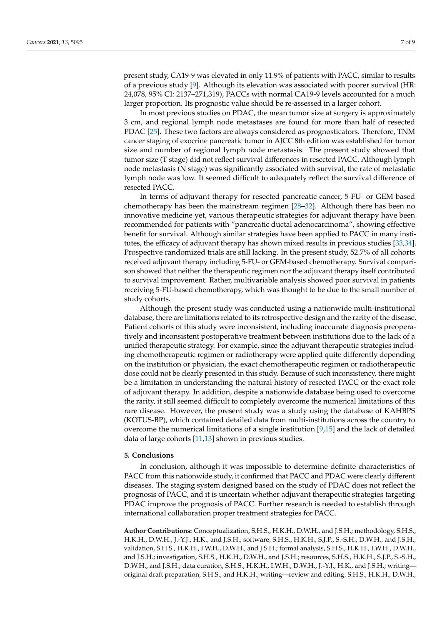present study, CA19-9 was elevated in only 11.9% of patients with PACC, similar to results of a previous study [\[9\]](#page-7-6). Although its elevation was associated with poorer survival (HR: 24,078, 95% CI: 2137–271,319), PACCs with normal CA19-9 levels accounted for a much larger proportion. Its prognostic value should be re-assessed in a larger cohort.

In most previous studies on PDAC, the mean tumor size at surgery is approximately 3 cm, and regional lymph node metastases are found for more than half of resected PDAC [\[25\]](#page-8-1). These two factors are always considered as prognosticators. Therefore, TNM cancer staging of exocrine pancreatic tumor in AJCC 8th edition was established for tumor size and number of regional lymph node metastasis. The present study showed that tumor size (T stage) did not reflect survival differences in resected PACC. Although lymph node metastasis (N stage) was significantly associated with survival, the rate of metastatic lymph node was low. It seemed difficult to adequately reflect the survival difference of resected PACC.

In terms of adjuvant therapy for resected pancreatic cancer, 5-FU- or GEM-based chemotherapy has been the mainstream regimen [\[28–](#page-8-2)[32\]](#page-8-3). Although there has been no innovative medicine yet, various therapeutic strategies for adjuvant therapy have been recommended for patients with "pancreatic ductal adenocarcinoma", showing effective benefit for survival. Although similar strategies have been applied to PACC in many institutes, the efficacy of adjuvant therapy has shown mixed results in previous studies [\[33](#page-8-4)[,34\]](#page-8-5). Prospective randomized trials are still lacking. In the present study, 52.7% of all cohorts received adjuvant therapy including 5-FU- or GEM-based chemotherapy. Survival comparison showed that neither the therapeutic regimen nor the adjuvant therapy itself contributed to survival improvement. Rather, multivariable analysis showed poor survival in patients receiving 5-FU-based chemotherapy, which was thought to be due to the small number of study cohorts.

Although the present study was conducted using a nationwide multi-institutional database, there are limitations related to its retrospective design and the rarity of the disease. Patient cohorts of this study were inconsistent, including inaccurate diagnosis preoperatively and inconsistent postoperative treatment between institutions due to the lack of a unified therapeutic strategy. For example, since the adjuvant therapeutic strategies including chemotherapeutic regimen or radiotherapy were applied quite differently depending on the institution or physician, the exact chemotherapeutic regimen or radiotherapeutic dose could not be clearly presented in this study. Because of such inconsistency, there might be a limitation in understanding the natural history of resected PACC or the exact role of adjuvant therapy. In addition, despite a nationwide database being used to overcome the rarity, it still seemed difficult to completely overcome the numerical limitations of this rare disease. However, the present study was a study using the database of KAHBPS (KOTUS-BP), which contained detailed data from multi-institutions across the country to overcome the numerical limitations of a single institution [\[9](#page-7-6)[,15\]](#page-7-12) and the lack of detailed data of large cohorts [\[11,](#page-7-7)[13\]](#page-7-8) shown in previous studies.

#### **5. Conclusions**

In conclusion, although it was impossible to determine definite characteristics of PACC from this nationwide study, it confirmed that PACC and PDAC were clearly different diseases. The staging system designed based on the study of PDAC does not reflect the prognosis of PACC, and it is uncertain whether adjuvant therapeutic strategies targeting PDAC improve the prognosis of PACC. Further research is needed to establish through international collaboration proper treatment strategies for PACC.

**Author Contributions:** Conceptualization, S.H.S., H.K.H., D.W.H., and J.S.H.; methodology, S.H.S., H.K.H., D.W.H., J.-Y.J., H.K., and J.S.H.; software, S.H.S., H.K.H., S.J.P., S.-S.H., D.W.H., and J.S.H.; validation, S.H.S., H.K.H., I.W.H., D.W.H., and J.S.H.; formal analysis, S.H.S., H.K.H., I.W.H., D.W.H., and J.S.H.; investigation, S.H.S., H.K.H., D.W.H., and J.S.H.; resources, S.H.S., H.K.H., S.J.P., S.-S.H., D.W.H., and J.S.H.; data curation, S.H.S., H.K.H., I.W.H., D.W.H., J.-Y.J., H.K., and J.S.H.; writing original draft preparation, S.H.S., and H.K.H.; writing—review and editing, S.H.S., H.K.H., D.W.H.,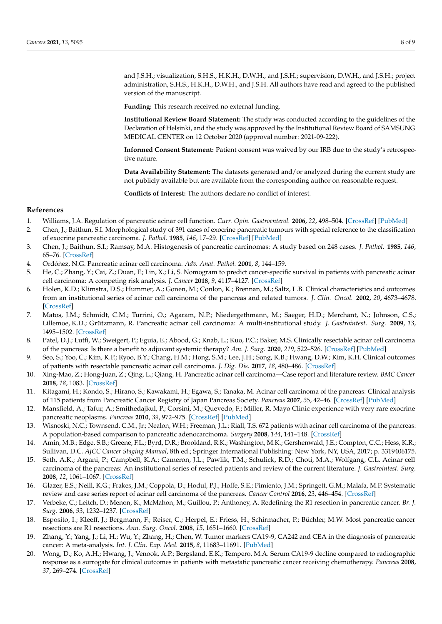and J.S.H.; visualization, S.H.S., H.K.H., D.W.H., and J.S.H.; supervision, D.W.H., and J.S.H.; project administration, S.H.S., H.K.H., D.W.H., and J.S.H. All authors have read and agreed to the published version of the manuscript.

**Funding:** This research received no external funding.

**Institutional Review Board Statement:** The study was conducted according to the guidelines of the Declaration of Helsinki, and the study was approved by the Institutional Review Board of SAMSUNG MEDICAL CENTER on 12 October 2020 (approval number: 2021-09-222).

**Informed Consent Statement:** Patient consent was waived by our IRB due to the study's retrospective nature.

**Data Availability Statement:** The datasets generated and/or analyzed during the current study are not publicly available but are available from the corresponding author on reasonable request.

**Conflicts of Interest:** The authors declare no conflict of interest.

# **References**

- <span id="page-7-0"></span>1. Williams, J.A. Regulation of pancreatic acinar cell function. *Curr. Opin. Gastroenterol.* **2006**, *22*, 498–504. [\[CrossRef\]](http://doi.org/10.1097/01.mog.0000239863.96833.c0) [\[PubMed\]](http://www.ncbi.nlm.nih.gov/pubmed/16891880)
- <span id="page-7-1"></span>2. Chen, J.; Baithun, S.I. Morphological study of 391 cases of exocrine pancreatic tumours with special reference to the classification of exocrine pancreatic carcinoma. *J. Pathol.* **1985**, *146*, 17–29. [\[CrossRef\]](http://doi.org/10.1002/path.1711460103) [\[PubMed\]](http://www.ncbi.nlm.nih.gov/pubmed/2989468)
- 3. Chen, J.; Baithun, S.I.; Ramsay, M.A. Histogenesis of pancreatic carcinomas: A study based on 248 cases. *J. Pathol.* **1985**, *146*, 65–76. [\[CrossRef\]](http://doi.org/10.1002/path.1711460108)
- <span id="page-7-2"></span>4. Ordóñez, N.G. Pancreatic acinar cell carcinoma. *Adv. Anat. Pathol.* **2001**, *8*, 144–159.
- <span id="page-7-3"></span>5. He, C.; Zhang, Y.; Cai, Z.; Duan, F.; Lin, X.; Li, S. Nomogram to predict cancer-specific survival in patients with pancreatic acinar cell carcinoma: A competing risk analysis. *J. Cancer* **2018**, *9*, 4117–4127. [\[CrossRef\]](http://doi.org/10.7150/jca.26936)
- <span id="page-7-10"></span>6. Holen, K.D.; Klimstra, D.S.; Hummer, A.; Gonen, M.; Conlon, K.; Brennan, M.; Saltz, L.B. Clinical characteristics and outcomes from an institutional series of acinar cell carcinoma of the pancreas and related tumors. *J. Clin. Oncol.* **2002**, *20*, 4673–4678. [\[CrossRef\]](http://doi.org/10.1200/JCO.2002.02.005)
- <span id="page-7-5"></span>7. Matos, J.M.; Schmidt, C.M.; Turrini, O.; Agaram, N.P.; Niedergethmann, M.; Saeger, H.D.; Merchant, N.; Johnson, C.S.; Lillemoe, K.D.; Grützmann, R. Pancreatic acinar cell carcinoma: A multi-institutional study. *J. Gastrointest. Surg.* **2009**, *13*, 1495–1502. [\[CrossRef\]](http://doi.org/10.1007/s11605-009-0938-z)
- <span id="page-7-11"></span>8. Patel, D.J.; Lutfi, W.; Sweigert, P.; Eguia, E.; Abood, G.; Knab, L.; Kuo, P.C.; Baker, M.S. Clinically resectable acinar cell carcinoma of the pancreas: Is there a benefit to adjuvant systemic therapy? *Am. J. Surg.* **2020**, *219*, 522–526. [\[CrossRef\]](http://doi.org/10.1016/j.amjsurg.2019.10.013) [\[PubMed\]](http://www.ncbi.nlm.nih.gov/pubmed/31677782)
- <span id="page-7-6"></span>9. Seo, S.; Yoo, C.; Kim, K.P.; Ryoo, B.Y.; Chang, H.M.; Hong, S.M.; Lee, J.H.; Song, K.B.; Hwang, D.W.; Kim, K.H. Clinical outcomes of patients with resectable pancreatic acinar cell carcinoma. *J. Dig. Dis.* **2017**, *18*, 480–486. [\[CrossRef\]](http://doi.org/10.1111/1751-2980.12505)
- <span id="page-7-4"></span>10. Xing-Mao, Z.; Hong-Juan, Z.; Qing, L.; Qiang, H. Pancreatic acinar cell carcinoma—Case report and literature review. *BMC Cancer* **2018**, *18*, 1083. [\[CrossRef\]](http://doi.org/10.1186/s12885-018-5008-z)
- <span id="page-7-7"></span>11. Kitagami, H.; Kondo, S.; Hirano, S.; Kawakami, H.; Egawa, S.; Tanaka, M. Acinar cell carcinoma of the pancreas: Clinical analysis of 115 patients from Pancreatic Cancer Registry of Japan Pancreas Society. *Pancreas* **2007**, *35*, 42–46. [\[CrossRef\]](http://doi.org/10.1097/mpa.0b013e31804bfbd3) [\[PubMed\]](http://www.ncbi.nlm.nih.gov/pubmed/17575544)
- 12. Mansfield, A.; Tafur, A.; Smithedajkul, P.; Corsini, M.; Quevedo, F.; Miller, R. Mayo Clinic experience with very rare exocrine pancreatic neoplasms. *Pancreas* **2010**, *39*, 972–975. [\[CrossRef\]](http://doi.org/10.1097/MPA.0b013e3181df273b) [\[PubMed\]](http://www.ncbi.nlm.nih.gov/pubmed/20622706)
- <span id="page-7-8"></span>13. Wisnoski, N.C.; Townsend, C.M., Jr.; Nealon, W.H.; Freeman, J.L.; Riall, T.S. 672 patients with acinar cell carcinoma of the pancreas: A population-based comparison to pancreatic adenocarcinoma. *Surgery* **2008**, *144*, 141–148. [\[CrossRef\]](http://doi.org/10.1016/j.surg.2008.03.006)
- <span id="page-7-9"></span>14. Amin, M.B.; Edge, S.B.; Greene, F.L.; Byrd, D.R.; Brookland, R.K.; Washington, M.K.; Gershenwald, J.E.; Compton, C.C.; Hess, K.R.; Sullivan, D.C. *AJCC Cancer Staging Manual*, 8th ed.; Springer International Publishing: New York, NY, USA, 2017; p. 3319406175.
- <span id="page-7-12"></span>15. Seth, A.K.; Argani, P.; Campbell, K.A.; Cameron, J.L.; Pawlik, T.M.; Schulick, R.D.; Choti, M.A.; Wolfgang, C.L. Acinar cell carcinoma of the pancreas: An institutional series of resected patients and review of the current literature. *J. Gastrointest. Surg.* **2008**, *12*, 1061–1067. [\[CrossRef\]](http://doi.org/10.1007/s11605-007-0338-1)
- <span id="page-7-13"></span>16. Glazer, E.S.; Neill, K.G.; Frakes, J.M.; Coppola, D.; Hodul, P.J.; Hoffe, S.E.; Pimiento, J.M.; Springett, G.M.; Malafa, M.P. Systematic review and case series report of acinar cell carcinoma of the pancreas. *Cancer Control* **2016**, *23*, 446–454. [\[CrossRef\]](http://doi.org/10.1177/107327481602300417)
- <span id="page-7-14"></span>17. Verbeke, C.; Leitch, D.; Menon, K.; McMahon, M.; Guillou, P.; Anthoney, A. Redefining the R1 resection in pancreatic cancer. *Br. J. Surg.* **2006**, *93*, 1232–1237. [\[CrossRef\]](http://doi.org/10.1002/bjs.5397)
- <span id="page-7-15"></span>18. Esposito, I.; Kleeff, J.; Bergmann, F.; Reiser, C.; Herpel, E.; Friess, H.; Schirmacher, P.; Büchler, M.W. Most pancreatic cancer resections are R1 resections. *Ann. Surg. Oncol.* **2008**, *15*, 1651–1660. [\[CrossRef\]](http://doi.org/10.1245/s10434-008-9839-8)
- <span id="page-7-16"></span>19. Zhang, Y.; Yang, J.; Li, H.; Wu, Y.; Zhang, H.; Chen, W. Tumor markers CA19-9, CA242 and CEA in the diagnosis of pancreatic cancer: A meta-analysis. *Int. J. Clin. Exp. Med.* **2015**, *8*, 11683–11691. [\[PubMed\]](http://www.ncbi.nlm.nih.gov/pubmed/26380005)
- <span id="page-7-17"></span>20. Wong, D.; Ko, A.H.; Hwang, J.; Venook, A.P.; Bergsland, E.K.; Tempero, M.A. Serum CA19-9 decline compared to radiographic response as a surrogate for clinical outcomes in patients with metastatic pancreatic cancer receiving chemotherapy. *Pancreas* **2008**, *37*, 269–274. [\[CrossRef\]](http://doi.org/10.1097/MPA.0b013e31816d8185)